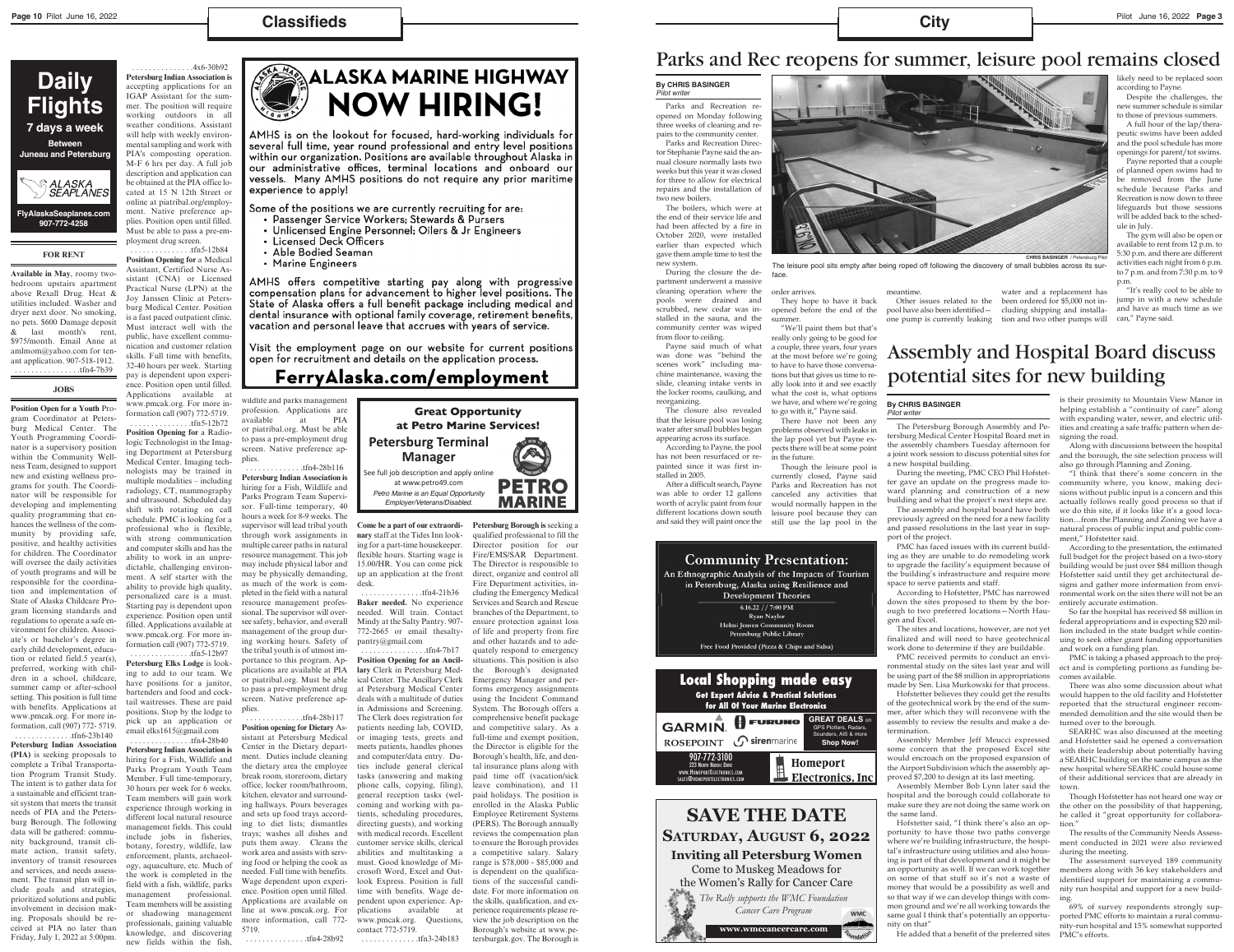## **Classifieds**

### **FOR RENT**

**Available in May**, roomy twobedroom upstairs apartment above Rexall Drug. Heat & utilities included. Washer and dryer next door. No smoking, no pets. \$600 Damage deposit & last month's rent, \$975/month. Email Anne at amlmom@yahoo.com for tenant application. 907-518-1912. . . . . . . . . . . . . . . . .tfn4-7b39

#### **JOBS**

**Position Open for a Youth** Program Coordinator at Petersburg Medical Center. The Youth Programming Coordinator is a supervisory position within the Community Wellness Team, designed to support new and existing wellness programs for youth. The Coordinator will be responsible for developing and implementing quality programming that enhances the wellness of the community by providing safe, positive, and healthy activities for children. The Coordinator will oversee the daily activities of youth programs and will be responsible for the coordination and implementation of State of Alaska Childcare Program licensing standards and regulations to operate a safe environment for children. Associate's or bachelor's degree in early child development, education or related field.5 year(s), preferred, working with children in a school, childcare, summer camp or after-school setting. This position is full time with benefits. Applications at www.pmcak.org. For more information, call (907) 772- 5719. . . . . . . . . . . . . . .tfn6-23b140 **Petersburg Indian Association (PIA)** is seeking proposals to complete a Tribal Transportation Program Transit Study. The intent is to gather data for a sustainable and efficient transit system that meets the transit needs of PIA and the Petersburg Borough. The following data will be gathered: community background, transit climate action, transit safety, inventory of transit resources and services, and needs assessment. The transit plan will include goals and strategies, prioritized solutions and public involvement in decision making. Proposals should be received at PIA no later than Friday, July 1, 2022 at 5:00pm.

 . . . . . . . . . . . . . . .4x6-30b92 **Petersburg Indian Association is** accepting applications for an IGAP Assistant for the summer. The position will require working outdoors in all weather conditions. Assistant will help with weekly environmental sampling and work with PIA's composting operation. M-F 6 hrs per day. A full job description and application can be obtained at the PIA office located at 15 N 12th Street or online at piatribal.org/employment. Native preference applies. Position open until filled. Must be able to pass a pre-employment drug screen.

 . . . . . . . . . . . . . . .tfn5-12b84 **Position Opening for** a Medical Assistant, Certified Nurse Assistant (CNA) or Licensed Practical Nurse (LPN) at the Joy Janssen Clinic at Petersburg Medical Center. Position is a fast paced outpatient clinic. Must interact well with the public, have excellent communication and customer relation skills. Full time with benefits, 32-40 hours per week. Starting pay is dependent upon experience. Position open until filled. Applications available at www.pmcak.org. For more information call (907) 772-5719. . . . . . . . . . . . . . . .tfn5-12b72 **Position Opening for** a Radiologic Technologist in the Imaging Department at Petersburg Medical Center. Imaging technologists may be trained in multiple modalities – including radiology, CT, mammography and ultrasound. Scheduled day shift with rotating on call schedule. PMC is looking for a professional who is flexible, with strong communication and computer skills and has the ability to work in an unpredictable, challenging environment. A self starter with the ability to provide high quality, personalized care is a must. Starting pay is dependent upon experience. Position open until filled. Applications available at www.pmcak.org. For more information call (907) 772-5719. . . . . . . . . . . . . . . .tfn5-12b97 **Petersburg Elks Lodge** is looking to add to our team. We

have positions for a janitor, bartenders and food and cocktail waitresses. These are paid positions. Stop by the lodge to pick up an application email elks1615@gmail.com



AMHS is on the lookout for focused, hard-working individuals for several full time, year round professional and entry level positions within our organization. Positions are available throughout Alaska in our administrative offices, terminal locations and onboard our vessels. Many AMHS positions do not require any prior maritime experience to apply!

Some of the positions we are currently recruiting for are:

- Passenger Service Workers; Stewards & Pursers
- Unlicensed Engine Personnel; Oilers & Jr Engineers
- Licensed Deck Officers
- Able Bodied Seaman
- Marine Engineers

AMHS offers competitive starting pay along with progressive compensation plans for advancement to higher level positions. The State of Alaska offers a full benefit package including medical and dental insurance with optional family coverage, retirement benefits, vacation and personal leave that accrues with years of service.

Visit the employment page on our website for current positions open for recruitment and details on the application process.

# FerryAlaska.com/employment

 . . . . . . . . . . . . . . .tfn4-28b40 **Petersburg Indian Association is** hiring for a Fish, Wildlife and Parks Program Youth Team Member. Full time-temporary, 30 hours per week for 6 weeks. Team members will gain work experience through working in different local natural resource management fields. This could include jobs in fisheries, botany, forestry, wildlife, law enforcement, plants, archaeology, aquaculture, etc. Much of the work is completed in the field with a fish, wildlife, parks management professional. Team members will be assisting or shadowing management professionals, gaining valuable knowledge, and discovering new fields within the fish, wildlife and parks management profession. Applications are available at PIA or piatribal.org. Must be able to pass a pre-employment drug screen. Native preference applies.

 . . . . . . . . . . . . . .tfn4-28b116 **Petersburg Indian Association is** hiring for a Fish, Wildlife and Parks Program Team Supervisor. Full-time temporary, 40 hours a week for 8-9 weeks. The supervisor will lead tribal youth through work assignments in multiple career paths in natural resource management. This job may include physical labor and may be physically demanding, as much of the work is completed in the field with a natural resource management professional. The supervisor will oversee safety, behavior, and overall management of the group during working hours. Safety of the tribal youth is of utmost importance to this program. Applications are available at PIA or piatribal.org. Must be able to pass a pre-employment drug screen. Native preference applies.

 . . . . . . . . . . . . . .tfn4-28b117 **Position opening for Dietary** Assistant at Petersburg Medical Center in the Dietary department. Duties include cleaning the dietary area the employee break room, storeroom, dietary office, locker room/bathroom, kitchen, elevator and surrounding hallways. Pours beverages and sets up food trays according to diet lists; dismantles trays; washes all dishes and puts them away. Cleans the work area and assists with serving food or helping the cook as needed. Full time with benefits. Wage dependent upon experience. Position open until filled. Applications are available on line at www.pmcak.org. For more information, call 772- 5719.

. . . . . . . . . . . . . . .tfn4-28b92

**Come be a part of our extraordinary** staff at the Tides Inn looking for a part-time housekeeper. flexible hours. Starting wage is 15.00/HR. You can come pick up an application at the front desk.

 . . . . . . . . . . . . . . .tfn4-21b36 **Baker needed.** No experience needed. Will train. Contact Mindy at the Salty Pantry. 907- 772-2665 or email thesaltypantry@gmail.com

 . . . . . . . . . . . . . . . .tfn4-7b17 **Position Opening for an Ancillary** Clerk in Petersburg Medical Center. The Ancillary Clerk at Petersburg Medical Center deals with a multitude of duties in Admissions and Screening. The Clerk does registration for patients needing lab, COVID, or imaging tests, greets and meets patients, handles phones and computer/data entry. Duties include general clerical tasks (answering and making phone calls, copying, filing), general reception tasks (welcoming and working with patients, scheduling procedures, directing guests), and working with medical records. Excellent customer service skills, clerical abilities and multitasking a must. Good knowledge of Microsoft Word, Excel and Outlook Express. Position is full time with benefits. Wage dependent upon experience. Applications available at www.pmcak.org. Questions, contact 772-5719.

. . . . . . . . . . . . . .tfn3-24b183

**Petersburg Borough is** seeking a qualified professional to fill the Director position for our Fire/EMS/SAR Department. The Director is responsible to direct, organize and control all Fire Department activities, including the Emergency Medical Services and Search and Rescue branches of the Department, to ensure protection against loss of life and property from fire and other hazards and to adequately respond to emergency situations. This position is also the Borough's designated Emergency Manager and performs emergency assignments using the Incident Command System. The Borough offers a comprehensive benefit package and competitive salary. As a full-time and exempt position, the Director is eligible for the Borough's health, life, and dental insurance plans along with paid time off (vacation/sick leave combination), and 11 paid holidays. The position is enrolled in the Alaska Public Employee Retirement Systems (PERS). The Borough annually reviews the compensation plan to ensure the Borough provides a competitive salary. Salary range is \$78,000 - \$85,000 and is dependent on the qualifications of the successful candidate. For more information on the skills, qualification, and experience requirements please review the job description on the Borough's website at www.petersburgak.gov. The Borough is

MARINE

# **Daily Flights 7 days a week Between Juneau and Petersburg**





at www.petro49.com *Petro Marine is an Equal Opportunity Employer/Veterans/Disabled.*